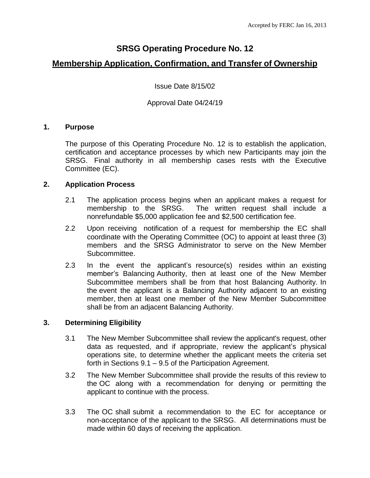# **SRSG Operating Procedure No. 12**

# **Membership Application, Confirmation, and Transfer of Ownership**

Issue Date 8/15/02

## Approval Date 04/24/19

## **1. Purpose**

The purpose of this Operating Procedure No. 12 is to establish the application, certification and acceptance processes by which new Participants may join the SRSG. Final authority in all membership cases rests with the Executive Committee (EC).

## **2. Application Process**

- 2.1 The application process begins when an applicant makes a request for membership to the SRSG. The written request shall include a nonrefundable \$5,000 application fee and \$2,500 certification fee.
- 2.2 Upon receiving notification of a request for membership the EC shall coordinate with the Operating Committee (OC) to appoint at least three (3) members and the SRSG Administrator to serve on the New Member Subcommittee.
- 2.3 In the event the applicant's resource(s) resides within an existing member's Balancing Authority, then at least one of the New Member Subcommittee members shall be from that host Balancing Authority. In the event the applicant is a Balancing Authority adjacent to an existing member, then at least one member of the New Member Subcommittee shall be from an adjacent Balancing Authority.

## **3. Determining Eligibility**

- 3.1 The New Member Subcommittee shall review the applicant's request, other data as requested, and if appropriate, review the applicant's physical operations site, to determine whether the applicant meets the criteria set forth in Sections 9.1 – 9.5 of the Participation Agreement.
- 3.2 The New Member Subcommittee shall provide the results of this review to the OC along with a recommendation for denying or permitting the applicant to continue with the process.
- 3.3 The OC shall submit a recommendation to the EC for acceptance or non-acceptance of the applicant to the SRSG. All determinations must be made within 60 days of receiving the application.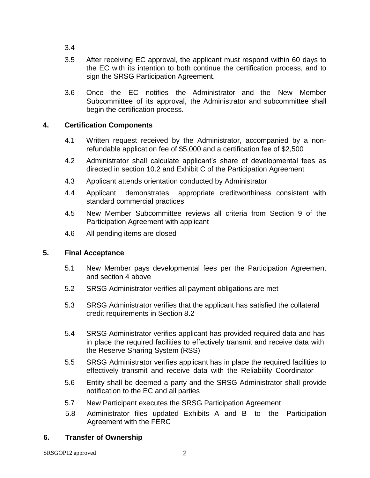- 3.4
- 3.5 After receiving EC approval, the applicant must respond within 60 days to the EC with its intention to both continue the certification process, and to sign the SRSG Participation Agreement.
- 3.6 Once the EC notifies the Administrator and the New Member Subcommittee of its approval, the Administrator and subcommittee shall begin the certification process.

# **4. Certification Components**

- 4.1 Written request received by the Administrator, accompanied by a nonrefundable application fee of \$5,000 and a certification fee of \$2,500
- 4.2 Administrator shall calculate applicant's share of developmental fees as directed in section 10.2 and Exhibit C of the Participation Agreement
- 4.3 Applicant attends orientation conducted by Administrator
- 4.4 Applicant demonstrates appropriate creditworthiness consistent with standard commercial practices
- 4.5 New Member Subcommittee reviews all criteria from Section 9 of the Participation Agreement with applicant
- 4.6 All pending items are closed

# **5. Final Acceptance**

- 5.1 New Member pays developmental fees per the Participation Agreement and section 4 above
- 5.2 SRSG Administrator verifies all payment obligations are met
- 5.3 SRSG Administrator verifies that the applicant has satisfied the collateral credit requirements in Section 8.2
- 5.4 SRSG Administrator verifies applicant has provided required data and has in place the required facilities to effectively transmit and receive data with the Reserve Sharing System (RSS)
- 5.5 SRSG Administrator verifies applicant has in place the required facilities to effectively transmit and receive data with the Reliability Coordinator
- 5.6 Entity shall be deemed a party and the SRSG Administrator shall provide notification to the EC and all parties
- 5.7 New Participant executes the SRSG Participation Agreement
- 5.8 Administrator files updated Exhibits A and B to the Participation Agreement with the FERC

# **6. Transfer of Ownership**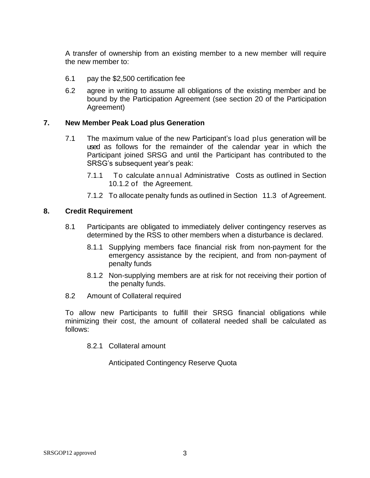A transfer of ownership from an existing member to a new member will require the new member to:

- 6.1 pay the \$2,500 certification fee
- 6.2 agree in writing to assume all obligations of the existing member and be bound by the Participation Agreement (see section 20 of the Participation Agreement)

## **7. New Member Peak Load plus Generation**

- 7.1 The maximum value of the new Participant's load plus generation will be used as follows for the remainder of the calendar year in which the Participant joined SRSG and until the Participant has contributed to the SRSG's subsequent year's peak:
	- 7.1.1 To calculate annual Administrative Costs as outlined in Section 10.1.2 of the Agreement.
	- 7.1.2 To allocate penalty funds as outlined in Section 11.3 of Agreement.

#### **8. Credit Requirement**

- 8.1 Participants are obligated to immediately deliver contingency reserves as determined by the RSS to other members when a disturbance is declared.
	- 8.1.1 Supplying members face financial risk from non-payment for the emergency assistance by the recipient, and from non-payment of penalty funds
	- 8.1.2 Non-supplying members are at risk for not receiving their portion of the penalty funds.
- 8.2 Amount of Collateral required

To allow new Participants to fulfill their SRSG financial obligations while minimizing their cost, the amount of collateral needed shall be calculated as follows:

8.2.1 Collateral amount

Anticipated Contingency Reserve Quota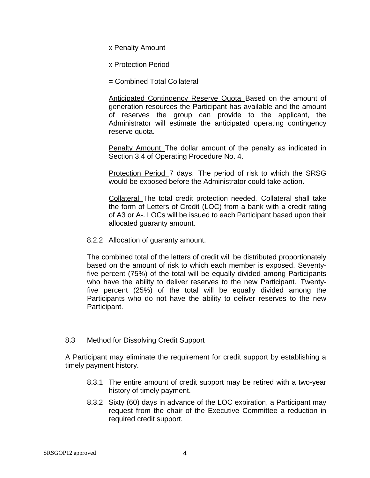x Penalty Amount

x Protection Period

= Combined Total Collateral

Anticipated Contingency Reserve Quota Based on the amount of generation resources the Participant has available and the amount of reserves the group can provide to the applicant, the Administrator will estimate the anticipated operating contingency reserve quota.

Penalty Amount The dollar amount of the penalty as indicated in Section 3.4 of Operating Procedure No. 4.

Protection Period 7 days. The period of risk to which the SRSG would be exposed before the Administrator could take action.

Collateral The total credit protection needed. Collateral shall take the form of Letters of Credit (LOC) from a bank with a credit rating of A3 or A-. LOCs will be issued to each Participant based upon their allocated guaranty amount.

8.2.2 Allocation of guaranty amount.

The combined total of the letters of credit will be distributed proportionately based on the amount of risk to which each member is exposed. Seventyfive percent (75%) of the total will be equally divided among Participants who have the ability to deliver reserves to the new Participant. Twentyfive percent (25%) of the total will be equally divided among the Participants who do not have the ability to deliver reserves to the new Participant.

# 8.3 Method for Dissolving Credit Support

A Participant may eliminate the requirement for credit support by establishing a timely payment history.

- 8.3.1 The entire amount of credit support may be retired with a two-year history of timely payment.
- 8.3.2 Sixty (60) days in advance of the LOC expiration, a Participant may request from the chair of the Executive Committee a reduction in required credit support.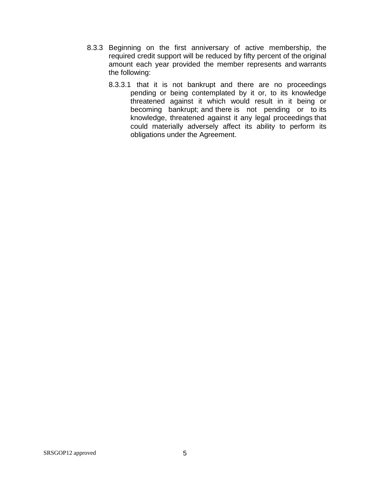- 8.3.3 Beginning on the first anniversary of active membership, the required credit support will be reduced by fifty percent of the original amount each year provided the member represents and warrants the following:
	- 8.3.3.1 that it is not bankrupt and there are no proceedings pending or being contemplated by it or, to its knowledge threatened against it which would result in it being or becoming bankrupt; and there is not pending or to its knowledge, threatened against it any legal proceedings that could materially adversely affect its ability to perform its obligations under the Agreement.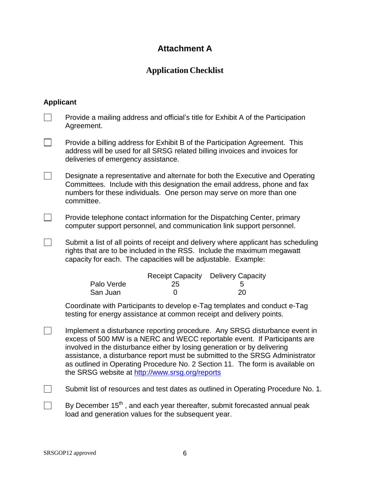# **Attachment A**

# **Application Checklist**

# **Applicant**

| Provide a mailing address and official's title for Exhibit A of the Participation<br>Agreement.                                                                                                                                                                                                                                                                                                                                                         |
|---------------------------------------------------------------------------------------------------------------------------------------------------------------------------------------------------------------------------------------------------------------------------------------------------------------------------------------------------------------------------------------------------------------------------------------------------------|
| Provide a billing address for Exhibit B of the Participation Agreement. This<br>address will be used for all SRSG related billing invoices and invoices for<br>deliveries of emergency assistance.                                                                                                                                                                                                                                                      |
| Designate a representative and alternate for both the Executive and Operating<br>Committees. Include with this designation the email address, phone and fax<br>numbers for these individuals. One person may serve on more than one<br>committee.                                                                                                                                                                                                       |
| Provide telephone contact information for the Dispatching Center, primary<br>computer support personnel, and communication link support personnel.                                                                                                                                                                                                                                                                                                      |
| Submit a list of all points of receipt and delivery where applicant has scheduling<br>rights that are to be included in the RSS. Include the maximum megawatt<br>capacity for each. The capacities will be adjustable. Example:                                                                                                                                                                                                                         |
| <b>Receipt Capacity Delivery Capacity</b><br>Palo Verde<br>25<br>5<br>20<br>San Juan<br>$\Omega$                                                                                                                                                                                                                                                                                                                                                        |
| Coordinate with Participants to develop e-Tag templates and conduct e-Tag<br>testing for energy assistance at common receipt and delivery points.                                                                                                                                                                                                                                                                                                       |
| Implement a disturbance reporting procedure. Any SRSG disturbance event in<br>excess of 500 MW is a NERC and WECC reportable event. If Participants are<br>involved in the disturbance either by losing generation or by delivering<br>assistance, a disturbance report must be submitted to the SRSG Administrator<br>as outlined in Operating Procedure No. 2 Section 11. The form is available on<br>the SRSG website at http://www.srsg.org/reports |
| Submit list of resources and test dates as outlined in Operating Procedure No. 1.                                                                                                                                                                                                                                                                                                                                                                       |

By December 15<sup>th</sup>, and each year thereafter, submit forecasted annual peak load and generation values for the subsequent year.

 $\Box$